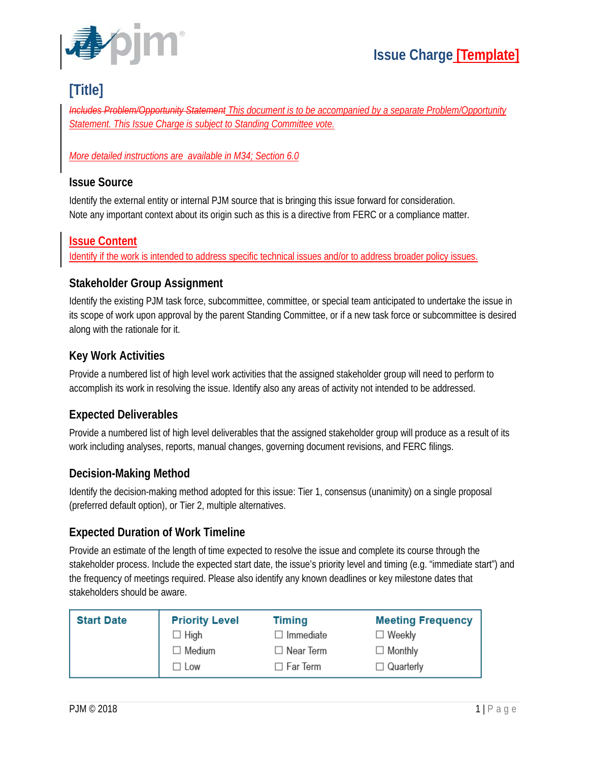

# **[Title]**

*Includes Problem/Opportunity Statement This document is to be accompanied by a separate Problem/Opportunity Statement. This Issue Charge is subject to Standing Committee vote.*

#### *More detailed instructions are available in M34; Section 6.0*

### **Issue Source**

Identify the external entity or internal PJM source that is bringing this issue forward for consideration. Note any important context about its origin such as this is a directive from FERC or a compliance matter.

### **Issue Content**

Identify if the work is intended to address specific technical issues and/or to address broader policy issues.

### **Stakeholder Group Assignment**

Identify the existing PJM task force, subcommittee, committee, or special team anticipated to undertake the issue in its scope of work upon approval by the parent Standing Committee, or if a new task force or subcommittee is desired along with the rationale for it.

## **Key Work Activities**

Provide a numbered list of high level work activities that the assigned stakeholder group will need to perform to accomplish its work in resolving the issue. Identify also any areas of activity not intended to be addressed.

## **Expected Deliverables**

Provide a numbered list of high level deliverables that the assigned stakeholder group will produce as a result of its work including analyses, reports, manual changes, governing document revisions, and FERC filings.

### **Decision-Making Method**

Identify the decision-making method adopted for this issue: Tier 1, consensus (unanimity) on a single proposal (preferred default option), or Tier 2, multiple alternatives.

### **Expected Duration of Work Timeline**

Provide an estimate of the length of time expected to resolve the issue and complete its course through the stakeholder process. Include the expected start date, the issue's priority level and timing (e.g. "immediate start") and the frequency of meetings required. Please also identify any known deadlines or key milestone dates that stakeholders should be aware.

| <b>Start Date</b> | <b>Priority Level</b> | <b>Timing</b>    | <b>Meeting Frequency</b> |
|-------------------|-----------------------|------------------|--------------------------|
|                   | $\Box$ High           | ∃ Immediate      | $\Box$ Weekly            |
|                   | $\Box$ Medium         | $\Box$ Near Term | $\Box$ Monthly           |
|                   | $\Box$ Low            | ∃ Far Term       | $\Box$ Quarterly         |